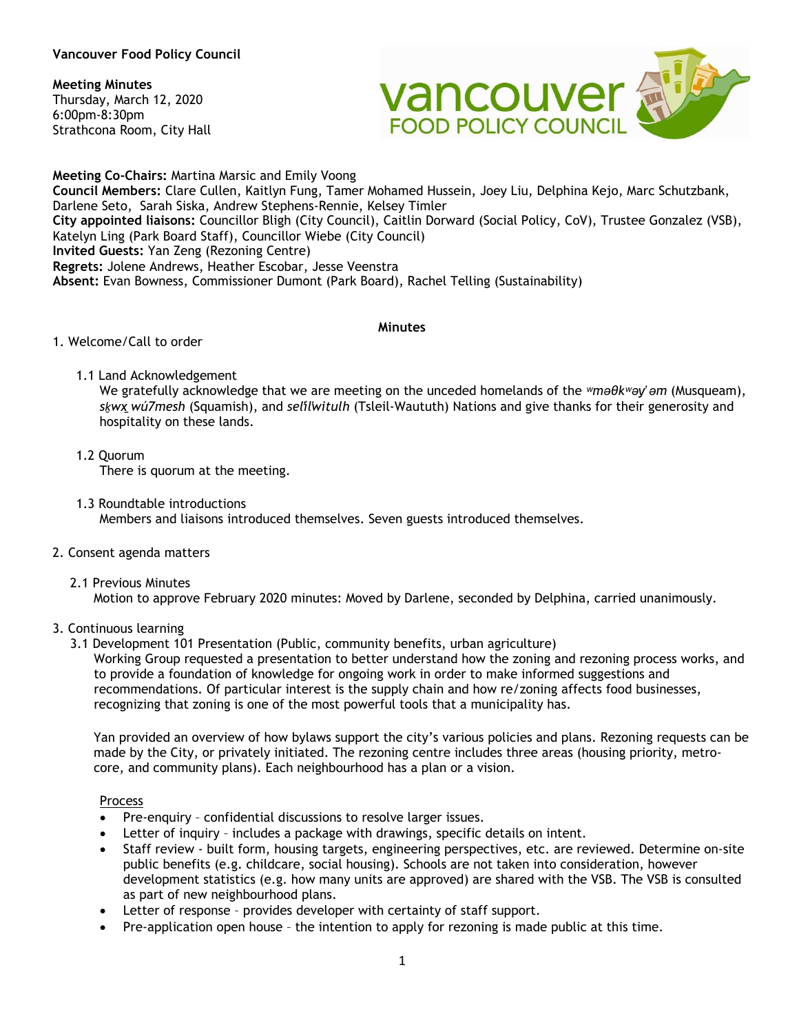### **Vancouver Food Policy Council**

### **Meeting Minutes**

Thursday, March 12, 2020 6:00pm-8:30pm Strathcona Room, City Hall



**Meeting Co-Chairs:** Martina Marsic and Emily Voong **Council Members:** Clare Cullen, Kaitlyn Fung, Tamer Mohamed Hussein, Joey Liu, Delphina Kejo, Marc Schutzbank, Darlene Seto, Sarah Siska, Andrew Stephens-Rennie, Kelsey Timler **City appointed liaisons:** Councillor Bligh (City Council), Caitlin Dorward (Social Policy, CoV), Trustee Gonzalez (VSB), Katelyn Ling (Park Board Staff), Councillor Wiebe (City Council) **Invited Guests:** Yan Zeng (Rezoning Centre) **Regrets:** Jolene Andrews, Heather Escobar, Jesse Veenstra **Absent:** Evan Bowness, Commissioner Dumont (Park Board), Rachel Telling (Sustainability)

### **Minutes**

### 1. Welcome/Call to order

1.1 Land Acknowledgement

We gratefully acknowledge that we are meeting on the unceded homelands of the *ʷməθkʷəy̓ əm* (Musqueam), *sḵwx̱wú7mesh* (Squamish), and *sel̓íl̓witulh* (Tsleil-Waututh) Nations and give thanks for their generosity and hospitality on these lands.

- 1.2 Quorum There is quorum at the meeting.
- 1.3 Roundtable introductions Members and liaisons introduced themselves. Seven guests introduced themselves.
- 2. Consent agenda matters
	- 2.1 Previous Minutes Motion to approve February 2020 minutes: Moved by Darlene, seconded by Delphina, carried unanimously.

## 3. Continuous learning

3.1 Development 101 Presentation (Public, community benefits, urban agriculture) Working Group requested a presentation to better understand how the zoning and rezoning process works, and to provide a foundation of knowledge for ongoing work in order to make informed suggestions and recommendations. Of particular interest is the supply chain and how re/zoning affects food businesses, recognizing that zoning is one of the most powerful tools that a municipality has.

Yan provided an overview of how bylaws support the city's various policies and plans. Rezoning requests can be made by the City, or privately initiated. The rezoning centre includes three areas (housing priority, metrocore, and community plans). Each neighbourhood has a plan or a vision.

### Process

- Pre-enquiry confidential discussions to resolve larger issues.
- Letter of inquiry includes a package with drawings, specific details on intent.
- Staff review built form, housing targets, engineering perspectives, etc. are reviewed. Determine on-site public benefits (e.g. childcare, social housing). Schools are not taken into consideration, however development statistics (e.g. how many units are approved) are shared with the VSB. The VSB is consulted as part of new neighbourhood plans.
- Letter of response provides developer with certainty of staff support.
- Pre-application open house the intention to apply for rezoning is made public at this time.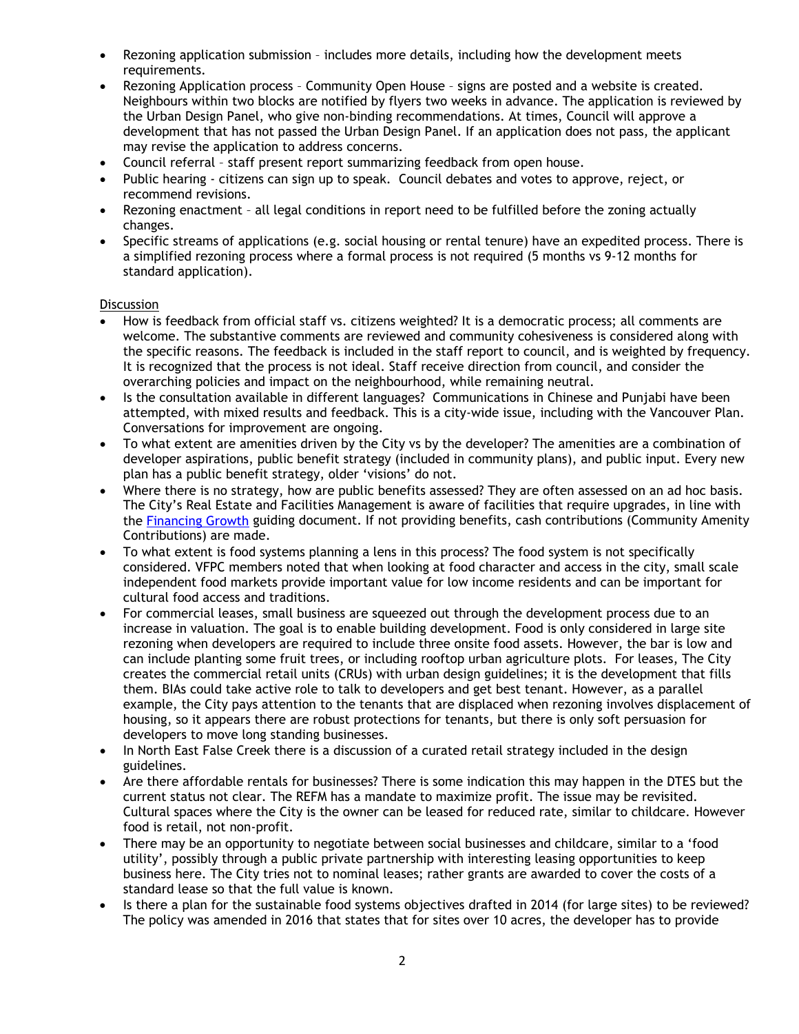- Rezoning application submission includes more details, including how the development meets requirements.
- Rezoning Application process Community Open House signs are posted and a website is created. Neighbours within two blocks are notified by flyers two weeks in advance. The application is reviewed by the Urban Design Panel, who give non-binding recommendations. At times, Council will approve a development that has not passed the Urban Design Panel. If an application does not pass, the applicant may revise the application to address concerns.
- Council referral staff present report summarizing feedback from open house.
- Public hearing citizens can sign up to speak. Council debates and votes to approve, reject, or recommend revisions.
- Rezoning enactment all legal conditions in report need to be fulfilled before the zoning actually changes.
- Specific streams of applications (e.g. social housing or rental tenure) have an expedited process. There is a simplified rezoning process where a formal process is not required (5 months vs 9-12 months for standard application).

### **Discussion**

- How is feedback from official staff vs. citizens weighted? It is a democratic process; all comments are welcome. The substantive comments are reviewed and community cohesiveness is considered along with the specific reasons. The feedback is included in the staff report to council, and is weighted by frequency. It is recognized that the process is not ideal. Staff receive direction from council, and consider the overarching policies and impact on the neighbourhood, while remaining neutral.
- Is the consultation available in different languages? Communications in Chinese and Punjabi have been attempted, with mixed results and feedback. This is a city-wide issue, including with the Vancouver Plan. Conversations for improvement are ongoing.
- To what extent are amenities driven by the City vs by the developer? The amenities are a combination of developer aspirations, public benefit strategy (included in community plans), and public input. Every new plan has a public benefit strategy, older 'visions' do not.
- Where there is no strategy, how are public benefits assessed? They are often assessed on an ad hoc basis. The City's Real Estate and Facilities Management is aware of facilities that require upgrades, in line with the [Financing Growth](https://vancouver.ca/files/cov/fgchoices-financing-growth-dcl-cac-report.pdf) guiding document. If not providing benefits, cash contributions (Community Amenity Contributions) are made.
- To what extent is food systems planning a lens in this process? The food system is not specifically considered. VFPC members noted that when looking at food character and access in the city, small scale independent food markets provide important value for low income residents and can be important for cultural food access and traditions.
- For commercial leases, small business are squeezed out through the development process due to an increase in valuation. The goal is to enable building development. Food is only considered in large site rezoning when developers are required to include three onsite food assets. However, the bar is low and can include planting some fruit trees, or including rooftop urban agriculture plots. For leases, The City creates the commercial retail units (CRUs) with urban design guidelines; it is the development that fills them. BIAs could take active role to talk to developers and get best tenant. However, as a parallel example, the City pays attention to the tenants that are displaced when rezoning involves displacement of housing, so it appears there are robust protections for tenants, but there is only soft persuasion for developers to move long standing businesses.
- In North East False Creek there is a discussion of a curated retail strategy included in the design guidelines.
- Are there affordable rentals for businesses? There is some indication this may happen in the DTES but the current status not clear. The REFM has a mandate to maximize profit. The issue may be revisited. Cultural spaces where the City is the owner can be leased for reduced rate, similar to childcare. However food is retail, not non-profit.
- There may be an opportunity to negotiate between social businesses and childcare, similar to a 'food utility', possibly through a public private partnership with interesting leasing opportunities to keep business here. The City tries not to nominal leases; rather grants are awarded to cover the costs of a standard lease so that the full value is known.
- Is there a plan for the sustainable food systems objectives drafted in 2014 (for large sites) to be reviewed? The policy was amended in 2016 that states that for sites over 10 acres, the developer has to provide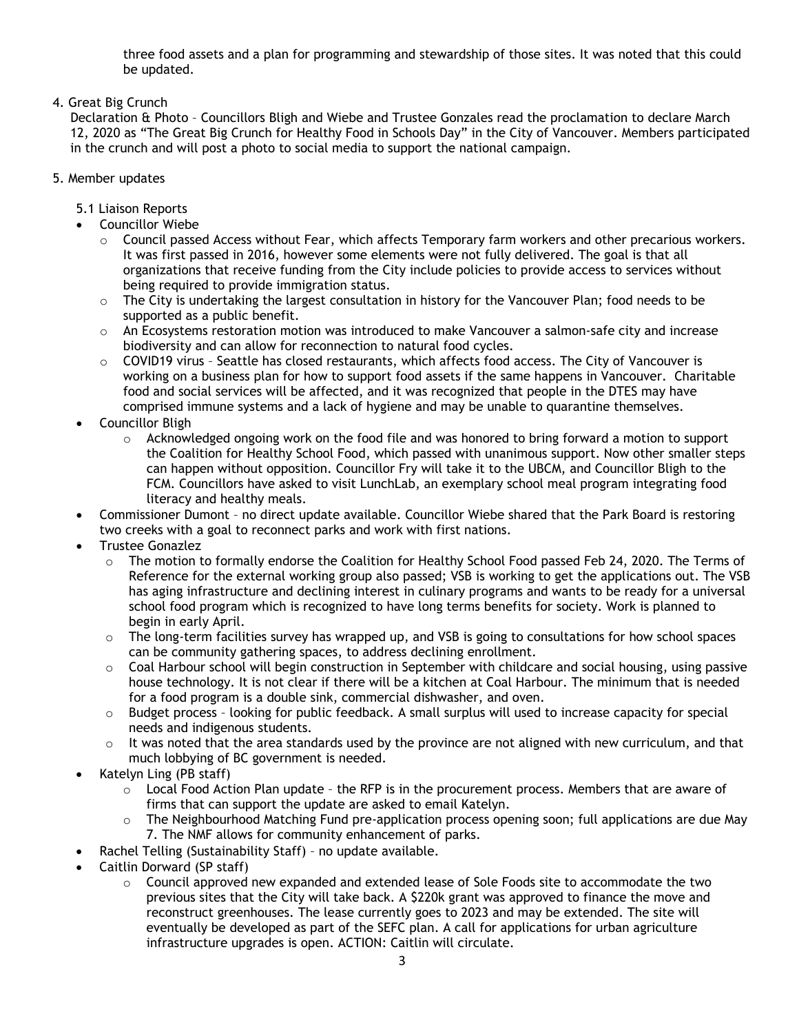three food assets and a plan for programming and stewardship of those sites. It was noted that this could be updated.

4. Great Big Crunch

Declaration & Photo – Councillors Bligh and Wiebe and Trustee Gonzales read the proclamation to declare March 12, 2020 as "The Great Big Crunch for Healthy Food in Schools Day" in the City of Vancouver. Members participated in the crunch and will post a photo to social media to support the national campaign.

## 5. Member updates

- 5.1 Liaison Reports
- Councillor Wiebe
	- $\circ$  Council passed Access without Fear, which affects Temporary farm workers and other precarious workers. It was first passed in 2016, however some elements were not fully delivered. The goal is that all organizations that receive funding from the City include policies to provide access to services without being required to provide immigration status.
	- o The City is undertaking the largest consultation in history for the Vancouver Plan; food needs to be supported as a public benefit.
	- $\circ$  An Ecosystems restoration motion was introduced to make Vancouver a salmon-safe city and increase biodiversity and can allow for reconnection to natural food cycles.
	- $\circ$  COVID19 virus Seattle has closed restaurants, which affects food access. The City of Vancouver is working on a business plan for how to support food assets if the same happens in Vancouver. Charitable food and social services will be affected, and it was recognized that people in the DTES may have comprised immune systems and a lack of hygiene and may be unable to quarantine themselves.
- Councillor Bligh
	- $\circ$  Acknowledged ongoing work on the food file and was honored to bring forward a motion to support the Coalition for Healthy School Food, which passed with unanimous support. Now other smaller steps can happen without opposition. Councillor Fry will take it to the UBCM, and Councillor Bligh to the FCM. Councillors have asked to visit LunchLab, an exemplary school meal program integrating food literacy and healthy meals.
- Commissioner Dumont no direct update available. Councillor Wiebe shared that the Park Board is restoring two creeks with a goal to reconnect parks and work with first nations.
- Trustee Gonazlez
	- o The motion to formally endorse the Coalition for Healthy School Food passed Feb 24, 2020. The Terms of Reference for the external working group also passed; VSB is working to get the applications out. The VSB has aging infrastructure and declining interest in culinary programs and wants to be ready for a universal school food program which is recognized to have long terms benefits for society. Work is planned to begin in early April.
	- $\circ$  The long-term facilities survey has wrapped up, and VSB is going to consultations for how school spaces can be community gathering spaces, to address declining enrollment.
	- o Coal Harbour school will begin construction in September with childcare and social housing, using passive house technology. It is not clear if there will be a kitchen at Coal Harbour. The minimum that is needed for a food program is a double sink, commercial dishwasher, and oven.
	- $\circ$  Budget process looking for public feedback. A small surplus will used to increase capacity for special needs and indigenous students.
	- $\circ$  It was noted that the area standards used by the province are not aligned with new curriculum, and that much lobbying of BC government is needed.
- Katelyn Ling (PB staff)
	- $\circ$  Local Food Action Plan update the RFP is in the procurement process. Members that are aware of firms that can support the update are asked to email Katelyn.
	- The Neighbourhood Matching Fund pre-application process opening soon; full applications are due May 7. The NMF allows for community enhancement of parks.
- Rachel Telling (Sustainability Staff) no update available.
- Caitlin Dorward (SP staff)
	- $\circ$  Council approved new expanded and extended lease of Sole Foods site to accommodate the two previous sites that the City will take back. A \$220k grant was approved to finance the move and reconstruct greenhouses. The lease currently goes to 2023 and may be extended. The site will eventually be developed as part of the SEFC plan. A call for applications for urban agriculture infrastructure upgrades is open. ACTION: Caitlin will circulate.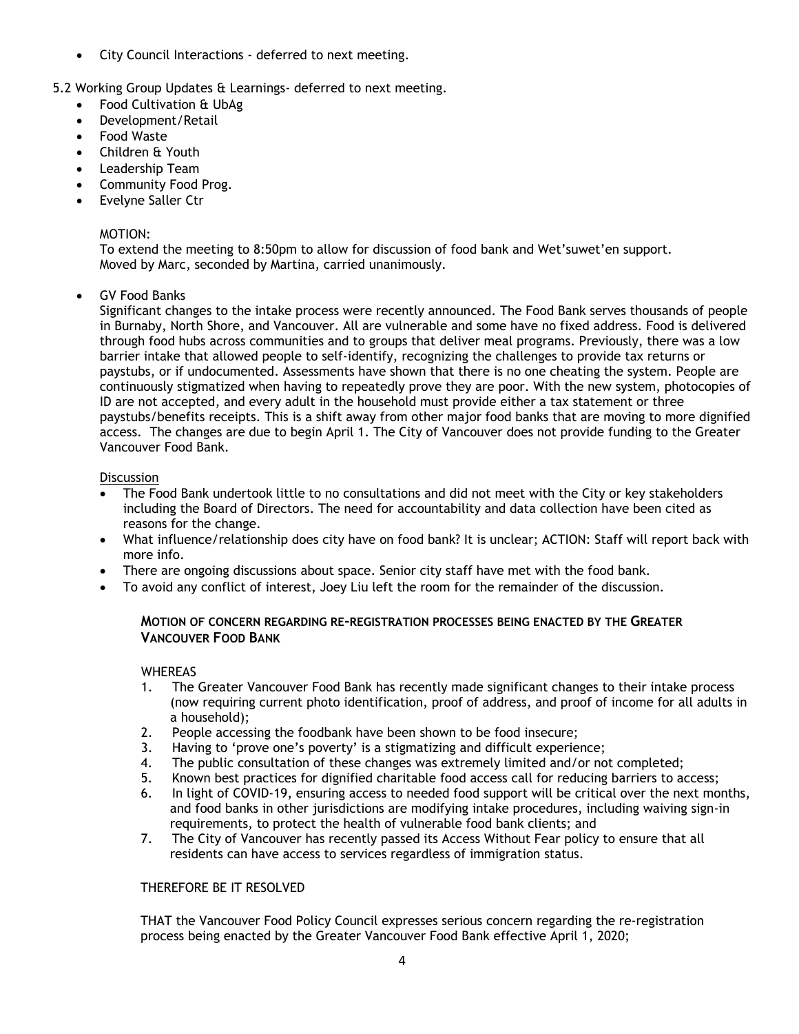• City Council Interactions - deferred to next meeting.

5.2 Working Group Updates & Learnings- deferred to next meeting.

- Food Cultivation & UbAg
- Development/Retail
- Food Waste
- Children & Youth
- Leadership Team
- Community Food Prog.
- Evelyne Saller Ctr

# MOTION:

To extend the meeting to 8:50pm to allow for discussion of food bank and Wet'suwet'en support. Moved by Marc, seconded by Martina, carried unanimously.

• GV Food Banks

Significant changes to the intake process were recently announced. The Food Bank serves thousands of people in Burnaby, North Shore, and Vancouver. All are vulnerable and some have no fixed address. Food is delivered through food hubs across communities and to groups that deliver meal programs. Previously, there was a low barrier intake that allowed people to self-identify, recognizing the challenges to provide tax returns or paystubs, or if undocumented. Assessments have shown that there is no one cheating the system. People are continuously stigmatized when having to repeatedly prove they are poor. With the new system, photocopies of ID are not accepted, and every adult in the household must provide either a tax statement or three paystubs/benefits receipts. This is a shift away from other major food banks that are moving to more dignified access. The changes are due to begin April 1. The City of Vancouver does not provide funding to the Greater Vancouver Food Bank.

## **Discussion**

- The Food Bank undertook little to no consultations and did not meet with the City or key stakeholders including the Board of Directors. The need for accountability and data collection have been cited as reasons for the change.
- What influence/relationship does city have on food bank? It is unclear; ACTION: Staff will report back with more info.
- There are ongoing discussions about space. Senior city staff have met with the food bank.
- To avoid any conflict of interest, Joey Liu left the room for the remainder of the discussion.

## **MOTION OF CONCERN REGARDING RE-REGISTRATION PROCESSES BEING ENACTED BY THE GREATER VANCOUVER FOOD BANK**

## **WHEREAS**

- 1. The Greater Vancouver Food Bank has recently made significant changes to their intake process (now requiring current photo identification, proof of address, and proof of income for all adults in a household);
- 2. People accessing the foodbank have been shown to be food insecure;
- 3. Having to 'prove one's poverty' is a stigmatizing and difficult experience;
- 4. The public consultation of these changes was extremely limited and/or not completed;
- 5. Known best practices for dignified charitable food access call for reducing barriers to access;
- 6. In light of COVID-19, ensuring access to needed food support will be critical over the next months, and food banks in other jurisdictions are modifying intake procedures, including waiving sign-in requirements, to protect the health of vulnerable food bank clients; and
- 7. The City of Vancouver has recently passed its Access Without Fear policy to ensure that all residents can have access to services regardless of immigration status.

## THEREFORE BE IT RESOLVED

THAT the Vancouver Food Policy Council expresses serious concern regarding the re-registration process being enacted by the Greater Vancouver Food Bank effective April 1, 2020;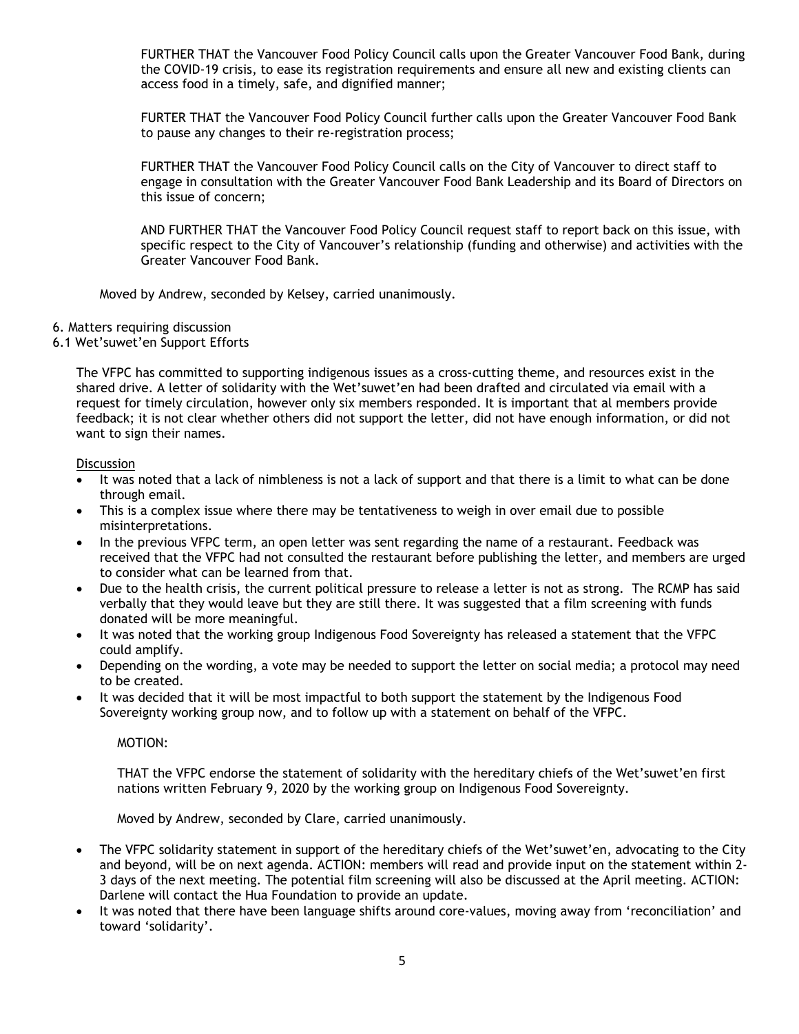FURTHER THAT the Vancouver Food Policy Council calls upon the Greater Vancouver Food Bank, during the COVID-19 crisis, to ease its registration requirements and ensure all new and existing clients can access food in a timely, safe, and dignified manner;

FURTER THAT the Vancouver Food Policy Council further calls upon the Greater Vancouver Food Bank to pause any changes to their re-registration process;

FURTHER THAT the Vancouver Food Policy Council calls on the City of Vancouver to direct staff to engage in consultation with the Greater Vancouver Food Bank Leadership and its Board of Directors on this issue of concern;

AND FURTHER THAT the Vancouver Food Policy Council request staff to report back on this issue, with specific respect to the City of Vancouver's relationship (funding and otherwise) and activities with the Greater Vancouver Food Bank.

Moved by Andrew, seconded by Kelsey, carried unanimously.

- 6. Matters requiring discussion
- 6.1 Wet'suwet'en Support Efforts

The VFPC has committed to supporting indigenous issues as a cross-cutting theme, and resources exist in the shared drive. A letter of solidarity with the Wet'suwet'en had been drafted and circulated via email with a request for timely circulation, however only six members responded. It is important that al members provide feedback; it is not clear whether others did not support the letter, did not have enough information, or did not want to sign their names.

### **Discussion**

- It was noted that a lack of nimbleness is not a lack of support and that there is a limit to what can be done through email.
- This is a complex issue where there may be tentativeness to weigh in over email due to possible misinterpretations.
- In the previous VFPC term, an open letter was sent regarding the name of a restaurant. Feedback was received that the VFPC had not consulted the restaurant before publishing the letter, and members are urged to consider what can be learned from that.
- Due to the health crisis, the current political pressure to release a letter is not as strong. The RCMP has said verbally that they would leave but they are still there. It was suggested that a film screening with funds donated will be more meaningful.
- It was noted that the working group Indigenous Food Sovereignty has released a statement that the VFPC could amplify.
- Depending on the wording, a vote may be needed to support the letter on social media; a protocol may need to be created.
- It was decided that it will be most impactful to both support the statement by the Indigenous Food Sovereignty working group now, and to follow up with a statement on behalf of the VFPC.

MOTION:

THAT the VFPC endorse the statement of solidarity with the hereditary chiefs of the Wet'suwet'en first nations written February 9, 2020 by the working group on Indigenous Food Sovereignty.

Moved by Andrew, seconded by Clare, carried unanimously.

- The VFPC solidarity statement in support of the hereditary chiefs of the Wet'suwet'en, advocating to the City and beyond, will be on next agenda. ACTION: members will read and provide input on the statement within 2- 3 days of the next meeting. The potential film screening will also be discussed at the April meeting. ACTION: Darlene will contact the Hua Foundation to provide an update.
- It was noted that there have been language shifts around core-values, moving away from 'reconciliation' and toward 'solidarity'.